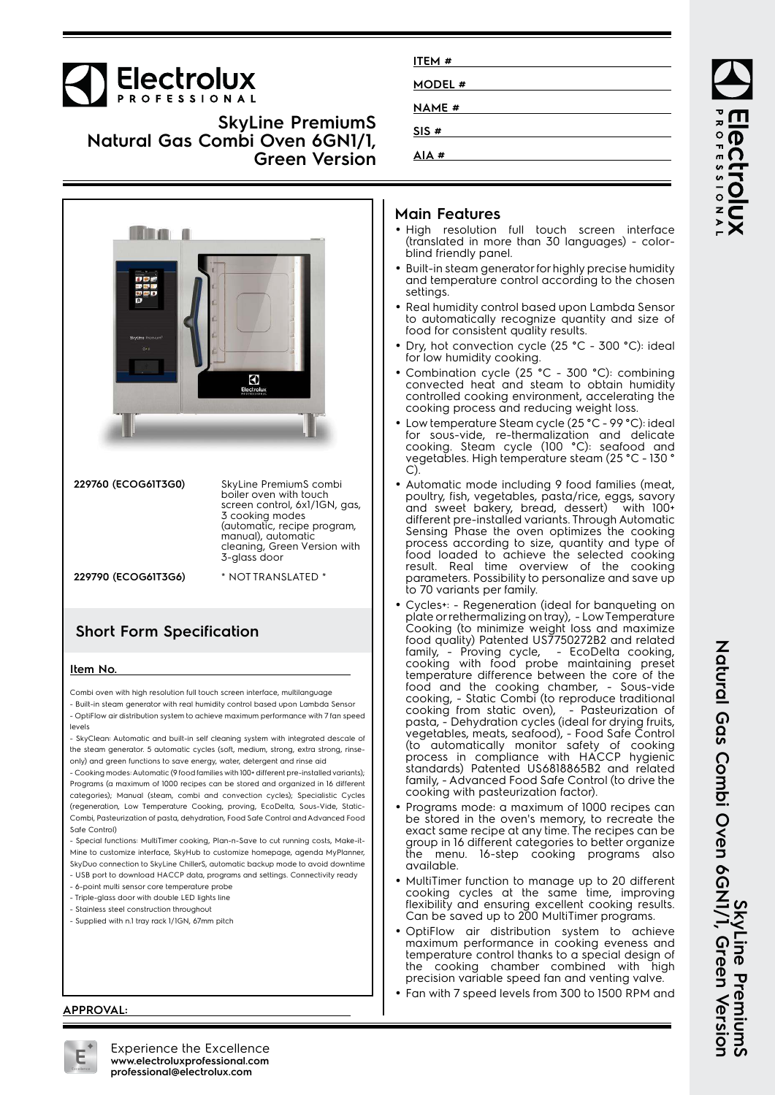# **Electrolux**

**SkyLine PremiumS Natural Gas Combi Oven 6GN1/1, Green Version**



| 229760 (ECOG61T3G0) | SkyLine PremiumS combi<br>boiler oven with touch<br>screen control, 6x1/1GN, gas,<br>3 cooking modes<br>(automatic, recipe program,<br>manual), automatic<br>cleaning, Green Version with<br>3-glass door |
|---------------------|-----------------------------------------------------------------------------------------------------------------------------------------------------------------------------------------------------------|
| 229790 (ECOG61T3G6) | * NOT TRANSLATED *                                                                                                                                                                                        |

### **Short Form Specification**

#### **Item No.**

Combi oven with high resolution full touch screen interface, multilanguage

- Built-in steam generator with real humidity control based upon Lambda Sensor - OptiFlow air distribution system to achieve maximum performance with 7 fan speed levels

- SkyClean: Automatic and built-in self cleaning system with integrated descale of the steam generator. 5 automatic cycles (soft, medium, strong, extra strong, rinseonly) and green functions to save energy, water, detergent and rinse aid

- Cooking modes: Automatic (9 food families with 100+ different pre-installed variants); Programs (a maximum of 1000 recipes can be stored and organized in 16 different categories); Manual (steam, combi and convection cycles); Specialistic Cycles (regeneration, Low Temperature Cooking, proving, EcoDelta, Sous-Vide, Static-Combi, Pasteurization of pasta, dehydration, Food Safe Control and Advanced Food Safe Control)

- Special functions: MultiTimer cooking, Plan-n-Save to cut running costs, Make-it-Mine to customize interface, SkyHub to customize homepage, agenda MyPlanner, SkyDuo connection to SkyLine ChillerS, automatic backup mode to avoid downtime

- USB port to download HACCP data, programs and settings. Connectivity ready - 6-point multi sensor core temperature probe
- Triple-glass door with double LED lights line
- Stainless steel construction throughout
- Supplied with n.1 tray rack 1/1GN, 67mm pitch

| ITEM #        |  |
|---------------|--|
| <b>MODEL#</b> |  |
| <b>NAME #</b> |  |
| SIS#          |  |
| AIA#          |  |

### **Main Features**

- High resolution full touch screen interface (translated in more than 30 languages) - colorblind friendly panel.
- Built-in steam generator for highly precise humidity and temperature control according to the chosen settings.
- Real humidity control based upon Lambda Sensor to automatically recognize quantity and size of food for consistent quality results.
- • Dry, hot convection cycle (25 °C - 300 °C): ideal for low humidity cooking.
- • Combination cycle (25 °C - 300 °C): combining convected heat and steam to obtain humidity controlled cooking environment, accelerating the cooking process and reducing weight loss.
- • Low temperature Steam cycle (25 °C - 99 °C): ideal for sous-vide, re-thermalization and delicate cooking. Steam cycle (100 °C): seafood and vegetables. High temperature steam (25 °C - 130 ° C).
- Automatic mode including 9 food families (meat, poultry, fish, vegetables, pasta/rice, eggs, savory and sweet bakery, bread, dessert) with 100+ different pre-installed variants. Through Automatic Sensing Phase the oven optimizes the cooking process according to size, quantity and type of food loaded to achieve the selected cooking result. Real time overview of the cooking parameters. Possibility to personalize and save up to 70 variants per family.
- • Cycles+: - Regeneration (ideal for banqueting on plate or rethermalizing on tray), - Low Temperature Cooking (to minimize weight loss and maximize food quality) Patented US7750272B2 and related family, - Proving cycle, - EcoDelta cooking, cooking with food probe maintaining preset temperature difference between the core of the food and the cooking chamber, - Sous-vide cooking, - Static Combi (to reproduce traditional cooking from static oven), - Pasteurization of pasta, - Dehydration cycles (ideal for drying fruits, vegetables, meats, seafood), - Food Safe Control (to automatically monitor safety of cooking process in compliance with HACCP hygienic standards) Patented US6818865B2 and related family, - Advanced Food Safe Control (to drive the cooking with pasteurization factor).
- Programs mode: a maximum of 1000 recipes can be stored in the oven's memory, to recreate the exact same recipe at any time. The recipes can be group in 16 different categories to better organize the menu. 16-step cooking programs also available.
- MultiTimer function to manage up to 20 different cooking cycles at the same time, improving flexibility and ensuring excellent cooking results. Can be saved up to 200 MultiTimer programs.
- • OptiFlow air distribution system to achieve maximum performance in cooking eveness and temperature control thanks to a special design of the cooking chamber combined with high precision variable speed fan and venting valve.
- Fan with 7 speed levels from 300 to 1500 RPM and

ROFESSIONA ectrolux

SkyLine PremiumS<br>Natural Gas Combi Oven 6GNI/1, Green Version **Natural Gas Combi Oven 6GN1/1, Green Version SkyLine PremiumS**

#### **APPROVAL:**



Experience the Excellence **www.electroluxprofessional.com professional@electrolux.com**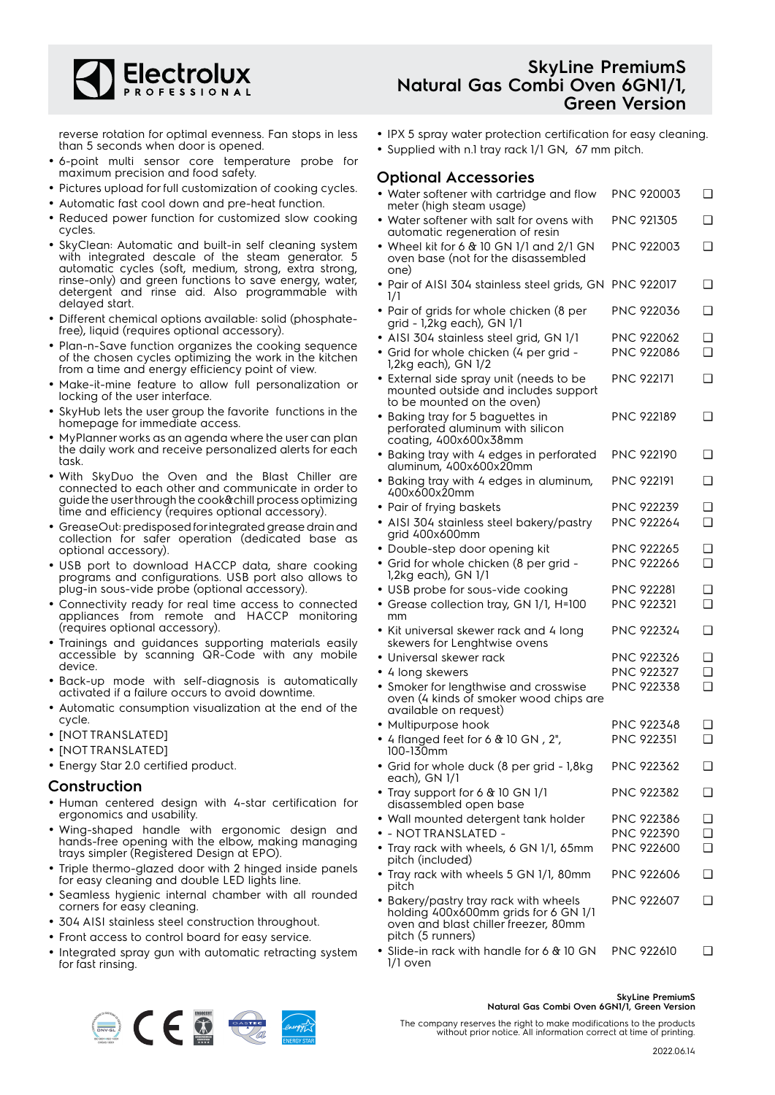

reverse rotation for optimal evenness. Fan stops in less than 5 seconds when door is opened.

- 6-point multi sensor core temperature probe for maximum precision and food safety.
- Pictures upload for full customization of cooking cycles.
- Automatic fast cool down and pre-heat function.
- • Reduced power function for customized slow cooking cycles.
- SkyClean: Automatic and built-in self cleaning system with integrated descale of the steam generator. 5 automatic cycles (soft, medium, strong, extra strong, rinse-only) and green functions to save energy, water, detergent and rinse aid. Also programmable with delayed start.
- Different chemical options available: solid (phosphatefree), liquid (requires optional accessory).
- Plan-n-Save function organizes the cooking sequence of the chosen cycles optimizing the work in the kitchen from a time and energy efficiency point of view.
- Make-it-mine feature to allow full personalization or locking of the user interface.
- • SkyHub lets the user group the favorite functions in the homepage for immediate access.
- MyPlanner works as an agenda where the user can plan the daily work and receive personalized alerts for each task.
- With SkyDuo the Oven and the Blast Chiller are connected to each other and communicate in order to guide the user through the cook&chill process optimizing time and efficiency (requires optional accessory).
- GreaseOut: predisposed for integrated grease drain and collection for safer operation (dedicated base as optional accessory).
- USB port to download HACCP data, share cooking programs and configurations. USB port also allows to plug-in sous-vide probe (optional accessory).
- Connectivity ready for real time access to connected appliances from remote and HACCP monitoring (requires optional accessory).
- Trainings and guidances supporting materials easily accessible by scanning QR-Code with any mobile device.
- Back-up mode with self-diagnosis is automatically activated if a failure occurs to avoid downtime.
- Automatic consumption visualization at the end of the cycle.
- [NOT TRANSLATED]
- [NOT TRANSLATED]
- Energy Star 2.0 certified product.

#### **Construction**

- Human centered design with 4-star certification for ergonomics and usability.
- Wing-shaped handle with ergonomic design and hands-free opening with the elbow, making managing trays simpler (Registered Design at EPO).
- Triple thermo-glazed door with 2 hinged inside panels for easy cleaning and double LED lights line.
- Seamless hygienic internal chamber with all rounded corners for easy cleaning.
- 304 AISI stainless steel construction throughout.
- Front access to control board for easy service.
- Integrated spray gun with automatic retracting system for fast rinsing.

### **SkyLine PremiumS Natural Gas Combi Oven 6GN1/1, Green Version**

- IPX 5 spray water protection certification for easy cleaning.
- Supplied with n.1 tray rack 1/1 GN, 67 mm pitch.

#### **Optional Accessories**

| • Water softener with cartridge and flow<br>meter (high steam usage)                                                                       | PNC 920003        | ❏        |
|--------------------------------------------------------------------------------------------------------------------------------------------|-------------------|----------|
| • Water softener with salt for ovens with<br>automatic regeneration of resin                                                               | PNC 921305        | ❏        |
| • Wheel kit for 6 $&$ 10 GN 1/1 and 2/1 GN<br>oven base (not for the disassembled<br>one)                                                  | PNC 922003        | ❏        |
| • Pair of AISI 304 stainless steel grids, GN PNC 922017<br>1/1                                                                             |                   | ❏        |
| • Pair of grids for whole chicken (8 per<br>grid - 1,2kg each), GN 1/1                                                                     | PNC 922036        | ❏        |
| · AISI 304 stainless steel grid, GN 1/1                                                                                                    | <b>PNC 922062</b> | ❏        |
| • Grid for whole chicken (4 per grid -<br>1,2kg each), GN 1/2                                                                              | <b>PNC 922086</b> | ◻        |
| $\bullet$ External side spray unit (needs to be<br>mounted outside and includes support<br>to be mounted on the oven)                      | <b>PNC 922171</b> | ❏        |
| • Baking tray for 5 baguettes in<br>perforated aluminum with silicon<br>coating, 400x600x38mm                                              | PNC 922189        | ❏        |
| · Baking tray with 4 edges in perforated<br>aluminum, 400x600x20mm                                                                         | PNC 922190        | ❏        |
| · Baking tray with 4 edges in aluminum,<br>400x600x20mm                                                                                    | <b>PNC 922191</b> | ❏        |
| • Pair of frying baskets                                                                                                                   | <b>PNC 922239</b> | ❏        |
| · AISI 304 stainless steel bakery/pastry<br>grid 400x600mm                                                                                 | <b>PNC 922264</b> | <b>□</b> |
| • Double-step door opening kit                                                                                                             | <b>PNC 922265</b> | ❏        |
| • Grid for whole chicken (8 per grid -<br>1,2kg each), GN 1/1                                                                              | <b>PNC 922266</b> | <b>□</b> |
| • USB probe for sous-vide cooking                                                                                                          | PNC 922281        | ❏        |
| • Grease collection tray, GN 1/1, H=100<br>mm                                                                                              | PNC 922321        | <b>□</b> |
| • Kit universal skewer rack and 4 long<br>skewers for Lenghtwise ovens                                                                     | PNC 922324        | ❏        |
| • Universal skewer rack                                                                                                                    | PNC 922326        | ❏        |
| • 4 long skewers                                                                                                                           | PNC 922327        | ❏        |
| • Smoker for lengthwise and crosswise<br>oven (4 kinds of smoker wood chips are<br>available on request)                                   | PNC 922338        | $\Box$   |
| • Multipurpose hook                                                                                                                        | PNC 922348        | ❏        |
| • 4 flanged feet for 6 $\&$ 10 GN, 2",<br>100-130mm                                                                                        | <b>PNC 922351</b> | ❏        |
| · Grid for whole duck (8 per grid - 1,8kg<br>each), GN 1/1                                                                                 | PNC 922362        | ❏        |
| • Tray support for 6 $&$ 10 GN 1/1<br>disassembled open base                                                                               | PNC 922382        | ❏        |
| · Wall mounted detergent tank holder                                                                                                       | PNC 922386        | ❏        |
| $\bullet$ - not translated -                                                                                                               | PNC 922390        | ❏        |
| • Tray rack with wheels, 6 GN 1/1, 65mm<br>pitch (included)                                                                                | PNC 922600        | <b>□</b> |
| • Tray rack with wheels 5 GN 1/1, 80mm<br>pitch                                                                                            | <b>PNC 922606</b> | ❏        |
| • Bakery/pastry tray rack with wheels<br>holding 400x600mm grids for 6 GN 1/1<br>oven and blast chiller freezer, 80mm<br>pitch (5 runners) | <b>PNC 922607</b> | ❏        |
| • Slide-in rack with bandle for 6 $\&$ 10 GN PNC 922610                                                                                    |                   | n.       |

• Slide-in rack with handle for 6 & 10 GN 1/1 oven PNC 922610 ❑



#### **SkyLine PremiumS Natural Gas Combi Oven 6GN1/1, Green Version**

The company reserves the right to make modifications to the products without prior notice. All information correct at time of printing.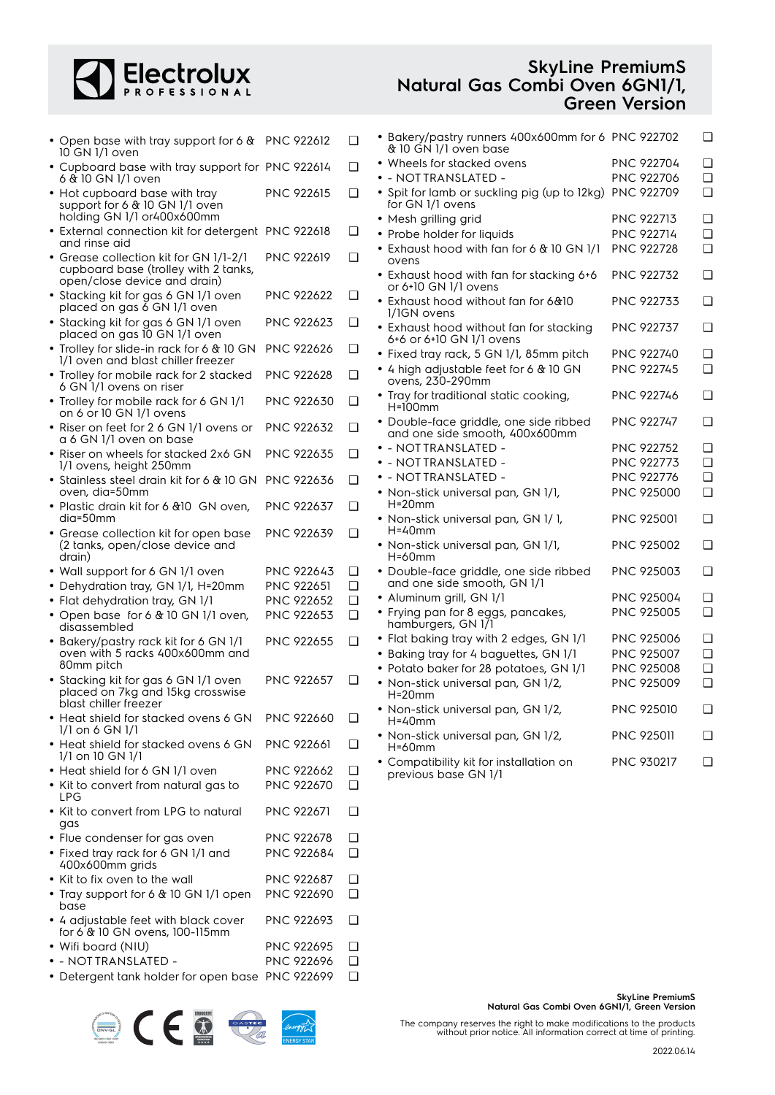# Electrolux

### **SkyLine PremiumS Natural Gas Combi Oven 6GN1/1, Green Version**

| • Open base with tray support for 6 & PNC 922612<br>10 GN 1/1 oven       |                   | $\Box$ | • Bakery/pastry runners 400x600mm for 6 PNC 922702<br>& 10 GN 1/1 oven base |                   |        |
|--------------------------------------------------------------------------|-------------------|--------|-----------------------------------------------------------------------------|-------------------|--------|
| • Cupboard base with tray support for PNC 922614                         |                   | $\Box$ | • Wheels for stacked ovens                                                  | <b>PNC 922704</b> | ℂ      |
| 6 & 10 GN 1/1 oven                                                       |                   |        | • - NOT TRANSLATED -                                                        | <b>PNC 922706</b> | C      |
| • Hot cupboard base with tray<br>support for 6 & 10 GN 1/1 oven          | PNC 922615        | $\Box$ | • Spit for lamb or suckling pig (up to 12kg)<br>for GN 1/1 ovens            | PNC 922709        | C      |
| holding GN 1/1 or400x600mm                                               |                   |        | • Mesh grilling grid                                                        | <b>PNC 922713</b> | С      |
| • External connection kit for detergent PNC 922618<br>and rinse aid      |                   | $\Box$ | • Probe holder for liquids                                                  | <b>PNC 922714</b> | C      |
| • Grease collection kit for GN 1/1-2/1                                   | <b>PNC 922619</b> | $\Box$ | • Exhaust hood with fan for 6 & 10 GN 1/1<br>ovens                          | <b>PNC 922728</b> | $\Box$ |
| cupboard base (trolley with 2 tanks,<br>open/close device and drain)     |                   |        | • Exhaust hood with fan for stacking 6+6<br>or 6+10 GN 1/1 ovens            | <b>PNC 922732</b> | C      |
| • Stacking kit for gas 6 GN 1/1 oven<br>placed on gas 6 GN 1/1 oven      | <b>PNC 922622</b> | $\Box$ | • Exhaust hood without fan for 6&10<br>1/1GN ovens                          | <b>PNC 922733</b> | ⊑      |
| • Stacking kit for gas 6 GN 1/1 oven<br>placed on gas IO GN 1/1 oven     | PNC 922623        | $\Box$ | • Exhaust hood without fan for stacking<br>6+6 or 6+10 GN 1/1 ovens         | <b>PNC 922737</b> | C      |
| • Trolley for slide-in rack for 6 & 10 GN                                | <b>PNC 922626</b> | $\Box$ | · Fixed tray rack, 5 GN 1/1, 85mm pitch                                     | <b>PNC 922740</b> | C      |
| 1/1 oven and blast chiller freezer                                       |                   |        | • 4 high adjustable feet for 6 & 10 GN                                      | <b>PNC 922745</b> | C      |
| • Trolley for mobile rack for 2 stacked<br>6 GN 1/1 ovens on riser       | <b>PNC 922628</b> | $\Box$ | ovens, 230-290mm<br>• Tray for traditional static cooking,                  | <b>PNC 922746</b> | ⊑      |
| • Trolley for mobile rack for 6 GN 1/1<br>on 6 or 10 GN 1/1 ovens        | PNC 922630        | $\Box$ | $H=100$ mm                                                                  |                   |        |
| • Riser on feet for 2 6 GN 1/1 ovens or<br>a 6 GN 1/1 oven on base       | <b>PNC 922632</b> | $\Box$ | · Double-face griddle, one side ribbed<br>and one side smooth, 400x600mm    | <b>PNC 922747</b> | C      |
| • Riser on wheels for stacked 2x6 GN                                     | PNC 922635        | $\Box$ | • - NOTTRANSLATED -                                                         | <b>PNC 922752</b> | C      |
| 1/1 ovens, height 250mm                                                  |                   |        | • - NOTTRANSLATED -                                                         | <b>PNC 922773</b> | C      |
| • Stainless steel drain kit for 6 & 10 GN PNC 922636                     |                   | ❏      | • - NOTTRANSLATED -                                                         | PNC 922776        | C      |
| oven, dia=50mm                                                           |                   |        | • Non-stick universal pan, GN 1/1,<br>$H=20$ mm                             | PNC 925000        | C      |
| • Plastic drain kit for 6 & 10 GN oven,<br>dia=50mm                      | PNC 922637        | $\Box$ | • Non-stick universal pan, GN 1/1,                                          | <b>PNC 925001</b> | ℂ      |
| • Grease collection kit for open base                                    | PNC 922639        | $\Box$ | $H = 40$ mm                                                                 |                   |        |
| (2 tanks, open/close device and<br>drain)                                |                   |        | • Non-stick universal pan, GN 1/1,<br>$H = 60$ mm                           | PNC 925002        | C      |
| • Wall support for 6 GN 1/1 oven                                         | PNC 922643        | $\Box$ | · Double-face griddle, one side ribbed                                      | <b>PNC 925003</b> | C      |
| • Dehydration tray, GN 1/1, H=20mm                                       | PNC 922651        | $\Box$ | and one side smooth, GN 1/1                                                 |                   |        |
| • Flat dehydration tray, GN 1/1                                          | PNC 922652        | $\Box$ | • Aluminum grill, GN 1/1                                                    | PNC 925004        | C      |
| • Open base for 6 & 10 GN 1/1 oven,<br>disassembled                      | PNC 922653        | $\Box$ | • Frying pan for 8 eggs, pancakes,<br>hamburgers, GN 1/1                    | PNC 925005        | C      |
| • Bakery/pastry rack kit for 6 GN 1/1                                    | <b>PNC 922655</b> | $\Box$ | • Flat baking tray with 2 edges, GN 1/1                                     | <b>PNC 925006</b> | C      |
| oven with 5 racks 400x600mm and                                          |                   |        | • Baking tray for 4 baguettes, GN 1/1                                       | PNC 925007        | C      |
| 80mm pitch                                                               |                   |        | • Potato baker for 28 potatoes, GN 1/1                                      | PNC 925008        | C      |
| • Stacking kit for gas 6 GN 1/1 oven<br>placed on 7kg and 15kg crosswise | PNC 922657        | $\Box$ | • Non-stick universal pan, GN 1/2,<br>$H=20$ mm                             | PNC 925009        | С      |
| blast chiller freezer<br>• Heat shield for stacked ovens 6 GN            | <b>PNC 922660</b> | □      | · Non-stick universal pan, GN 1/2,                                          | PNC 925010        |        |
| $1/1$ on 6 GN $1/1$                                                      |                   |        | $H = 40$ mm<br>• Non-stick universal pan, GN 1/2,                           | <b>PNC 925011</b> | ⊏      |
| • Heat shield for stacked ovens 6 GN<br>$1/1$ on $10$ GN $1/1$           | <b>PNC 922661</b> | □      | $H = 60$ mm<br>• Compatibility kit for installation on                      | PNC 930217        | ℂ      |
| • Heat shield for 6 GN 1/1 oven                                          | PNC 922662        | □      | previous base GN 1/1                                                        |                   |        |
| • Kit to convert from natural gas to<br><b>LPG</b>                       | PNC 922670        | $\Box$ |                                                                             |                   |        |
| • Kit to convert from LPG to natural<br>gas                              | <b>PNC 922671</b> | $\Box$ |                                                                             |                   |        |
| • Flue condenser for gas oven                                            | PNC 922678        | ❏      |                                                                             |                   |        |
| • Fixed tray rack for 6 GN 1/1 and                                       | <b>PNC 922684</b> | ❏      |                                                                             |                   |        |
| 400x600mm grids<br>• Kit to fix oven to the wall                         | PNC 922687        | ❏      |                                                                             |                   |        |
| • Tray support for 6 & 10 GN 1/1 open                                    | <b>PNC 922690</b> | ❏      |                                                                             |                   |        |
| base                                                                     |                   |        |                                                                             |                   |        |
| • 4 adjustable feet with black cover<br>for 6 & 10 GN ovens, 100-115mm   | PNC 922693        | □      |                                                                             |                   |        |

- Wifi board (NIU) PNC 922695 ❑
- - NOT TRANSLATED PNC 922696 ❑
- Detergent tank holder for open base PNC 922699 ❑



**SkyLine PremiumS Natural Gas Combi Oven 6GN1/1, Green Version**

The company reserves the right to make modifications to the products without prior notice. All information correct at time of printing.